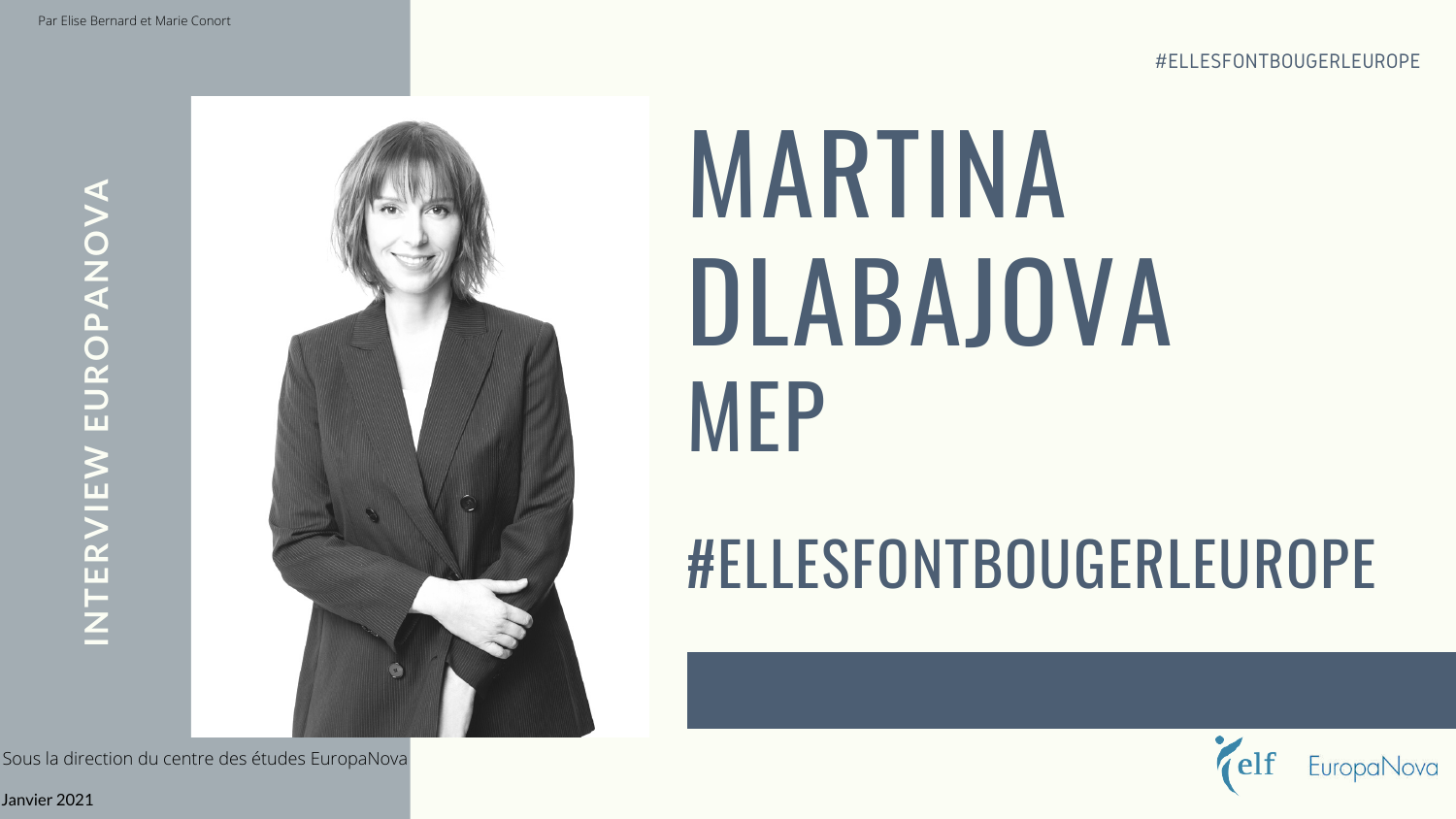# MARTINA DLABAJOVA MEP

**INTERVIEW EUROPANOVA**  INTERVIEW EUROPANOVA



# #ELLESFONTBOUGERLEUROPE



Janvier 2021

Sous la direction du centre des études EuropaNova

#ELLESFONTBOUGERLEUROPE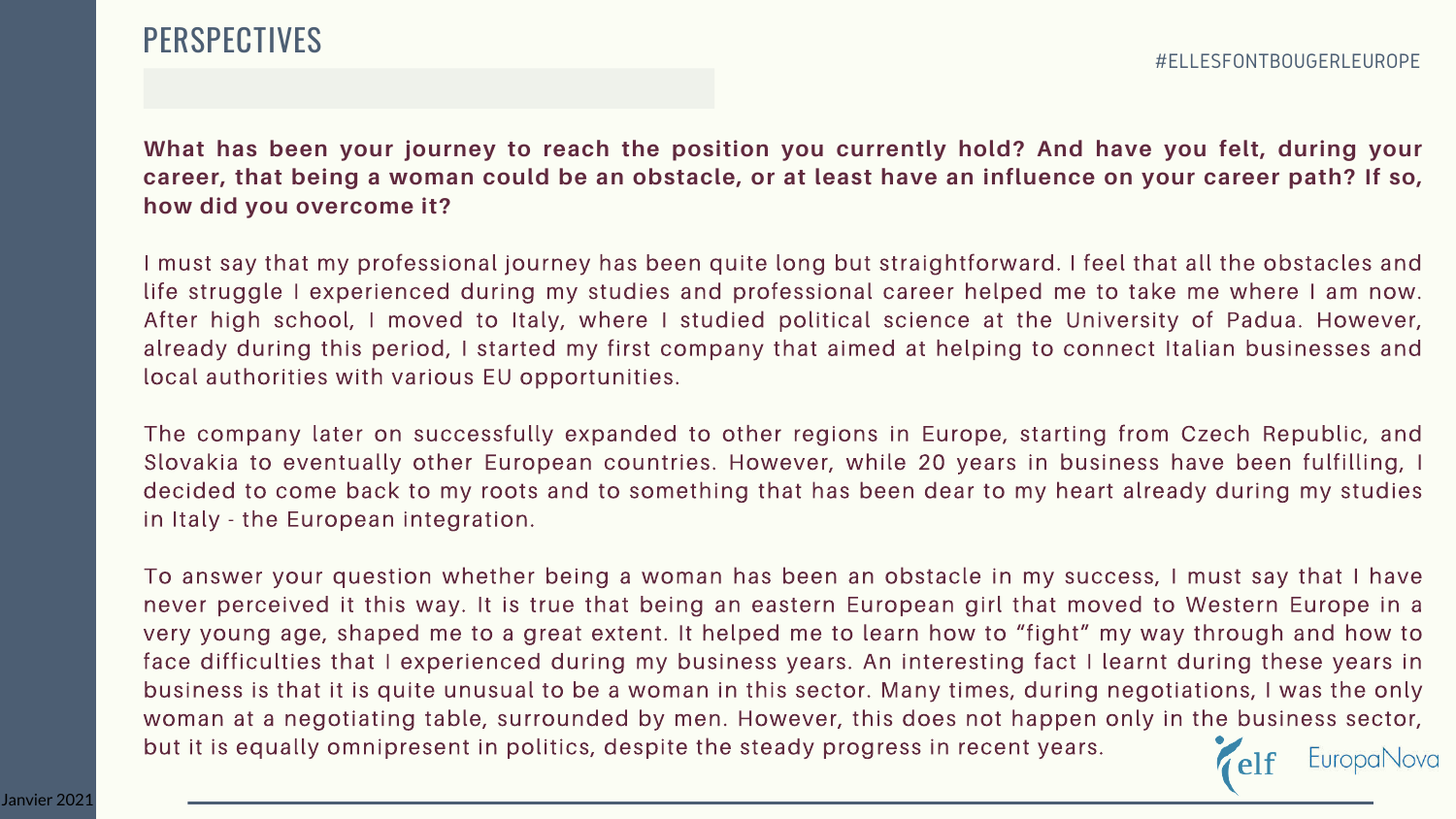# PERSPECTIVES

**What has been your journey to reach the position you currently hold? And have you felt, during your career, that being a woman could be an obstacle, or at least have an influence on your career path? If so, how did you overcome it?** 

I must say that my professional journey has been quite long but straightforward. I feel that all the obstacles and life struggle I experienced during my studies and professional career helped me to take me where I am now. After high school, I moved to Italy, where I studied political science at the University of Padua. However, already during this period, I started my first company that aimed at helping to connect Italian businesses and local authorities with various EU opportunities.

The company later on successfully expanded to other regions in Europe, starting from Czech Republic, and Slovakia to eventually other European countries. However, while 20 years in business have been fulfilling, I decided to come back to my roots and to something that has been dear to my heart already during my studies in Italy - the European integration.

To answer your question whether being a woman has been an obstacle in my success, I must say that I have never perceived it this way. It is true that being an eastern European girl that moved to Western Europe in a very young age, shaped me to a great extent. It helped me to learn how to "fight" my way through and how to face difficulties that I experienced during my business years. An interesting fact I learnt during these years in business is that it is quite unusual to be a woman in this sector. Many times, during negotiations, I was the only woman at a negotiating table, surrounded by men. However, this does not happen only in the business sector, but it is equally omnipresent in politics, despite the steady progress in recent years.

### #ELLESFONTBOUGERLEUROPE